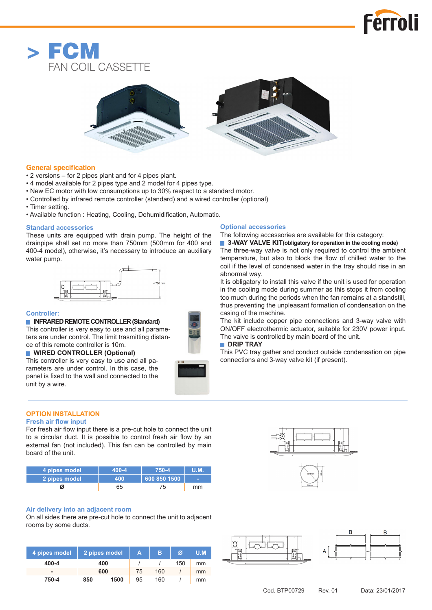





# **General specification**

- 2 versions for 2 pipes plant and for 4 pipes plant.
- 4 model available for 2 pipes type and 2 model for 4 pipes type.
- New EC motor with low consumptions up to 30% respect to a standard motor.
- Controlled by infrared remote controller (standard) and a wired controller (optional)
- Timer setting.
- Available function : Heating, Cooling, Dehumidification, Automatic.

### **Standard accessories**

These units are equipped with drain pump. The height of the drainpipe shall set no more than 750mm (500mm for 400 and 400-4 model), otherwise, it's necessary to introduce an auxiliary water pump.



## **Controller:**

# **■ INFRARED REMOTE CONTROLLER (Standard)**

This controller is very easy to use and all parameters are under control. The limit trasmitting distance of this remote controller is 10m.

# **■ WIRED CONTROLLER (Optional)**

This controller is very easy to use and all parameters are under control. In this case, the panel is fixed to the wall and connected to the unit by a wire.

## **Optional accessories**

The following accessories are available for this category:

■ 3-WAY VALVE KIT(obligatory for operation in the cooling mode) The three-way valve is not only required to control the ambient temperature, but also to block the flow of chilled water to the coil if the level of condensed water in the tray should rise in an abnormal way.

It is obligatory to install this valve if the unit is used for operation in the cooling mode during summer as this stops it from cooling too much during the periods when the fan remains at a standstill, thus preventing the unpleasant formation of condensation on the casing of the machine.

The kit include copper pipe connections and 3-way valve with ON/OFF electrothermic actuator, suitable for 230V power input. The valve is controlled by main board of the unit.

# **■ DRIP TRAY**

This PVC tray gather and conduct outside condensation on pipe connections and 3-way valve kit (if present).

#### **OPTION INSTALLATION Fresh air flow input**

For fresh air flow input there is a pre-cut hole to connect the unit to a circular duct. It is possible to control fresh air flow by an external fan (not included). This fan can be controlled by main board of the unit.

| l 4 pipes model <b>1</b> | 400-4 | 750-4        | U.M. |  |
|--------------------------|-------|--------------|------|--|
| 2 pipes model            | 400   | 600 850 1500 | -    |  |
|                          | 65    |              | mm   |  |

# **Air delivery into an adjacent room**

On all sides there are pre-cut hole to connect the unit to adjacent rooms by some ducts.

| 4 pipes model | 2 pipes model |      | A  | в   | Ø   | U.M |
|---------------|---------------|------|----|-----|-----|-----|
| 400-4         | 400           |      |    |     | 150 | mm  |
|               | 600           |      | 75 | 160 |     | mm  |
| 750-4         | 850           | 1500 | 95 | 160 |     | mm  |